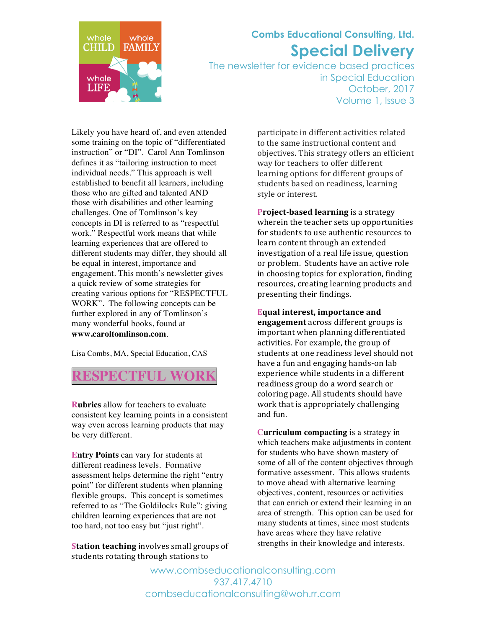

## **Combs Educational Consulting, Ltd. Special Delivery**

The newsletter for evidence based practices in Special Education October, 2017 Volume 1, Issue 3

Likely you have heard of, and even attended some training on the topic of "differentiated instruction" or "DI". Carol Ann Tomlinson defines it as "tailoring instruction to meet individual needs." This approach is well established to benefit all learners, including those who are gifted and talented AND those with disabilities and other learning challenges. One of Tomlinson's key concepts in DI is referred to as "respectful work." Respectful work means that while learning experiences that are offered to different students may differ, they should all be equal in interest, importance and engagement. This month's newsletter gives a quick review of some strategies for creating various options for "RESPECTFUL WORK". The following concepts can be further explored in any of Tomlinson's many wonderful books, found at **www.caroltomlinson.com**.

Lisa Combs, MA, Special Education, CAS

**RESPECTFUL WORK**

**Rubrics** allow for teachers to evaluate consistent key learning points in a consistent way even across learning products that may be very different.

**Entry Points** can vary for students at different readiness levels. Formative assessment helps determine the right "entry point" for different students when planning flexible groups. This concept is sometimes referred to as "The Goldilocks Rule": giving children learning experiences that are not too hard, not too easy but "just right".

**Station teaching** involves small groups of students rotating through stations to

participate in different activities related to the same instructional content and objectives. This strategy offers an efficient way for teachers to offer different learning options for different groups of students based on readiness, learning style or interest.

**Project-based learning** is a strategy wherein the teacher sets up opportunities for students to use authentic resources to learn content through an extended investigation of a real life issue, question or problem. Students have an active role in choosing topics for exploration, finding resources, creating learning products and presenting their findings.

**Equal interest, importance and** 

**engagement** across different groups is important when planning differentiated activities. For example, the group of students at one readiness level should not have a fun and engaging hands-on lab experience while students in a different readiness group do a word search or coloring page. All students should have work that is appropriately challenging and fun.

**Curriculum compacting** is a strategy in which teachers make adjustments in content for students who have shown mastery of some of all of the content objectives through formative assessment. This allows students to move ahead with alternative learning objectives, content, resources or activities that can enrich or extend their learning in an area of strength. This option can be used for many students at times, since most students have areas where they have relative strengths in their knowledge and interests.

www.combseducationalconsulting.com 937.417.4710 combseducationalconsulting@woh.rr.com